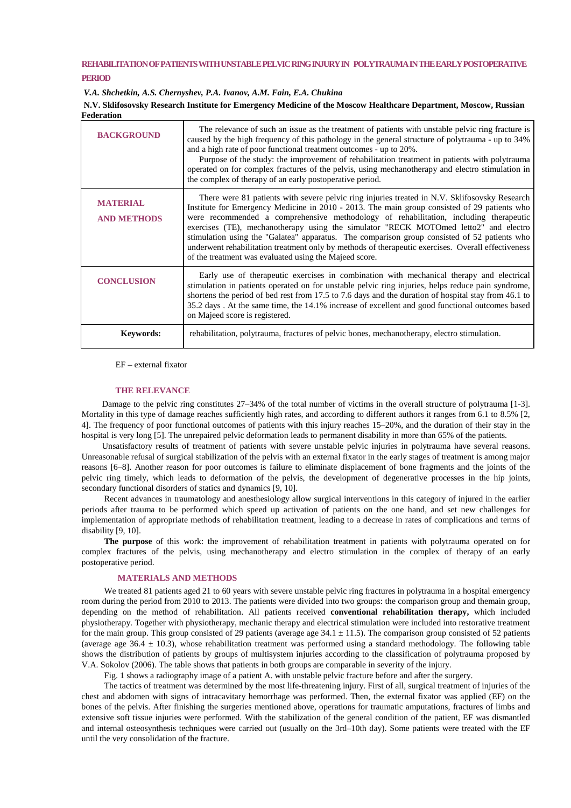# **REHABILITATION OF PATIENTS WITH UNSTABLEPELVIC RING INJURY IN POLYTRAUMA IN THE EARLY POSTOPERATIVE PERIOD**

*V.A. Shchetkin, A.S. Chernyshev, P.A. Ivanov, A.M. Fain, E.A. Chukina*

**N.V. Sklifosovsky Research Institute for Emergency Medicine of the Moscow Healthcare Department, Moscow, Russian Federation**

| <b>BACKGROUND</b>                     | The relevance of such an issue as the treatment of patients with unstable pelvic ring fracture is<br>caused by the high frequency of this pathology in the general structure of polytrauma - up to 34%<br>and a high rate of poor functional treatment outcomes - up to 20%.<br>Purpose of the study: the improvement of rehabilitation treatment in patients with polytrauma<br>operated on for complex fractures of the pelvis, using mechanotherapy and electro stimulation in<br>the complex of therapy of an early postoperative period.                                                                                                  |
|---------------------------------------|------------------------------------------------------------------------------------------------------------------------------------------------------------------------------------------------------------------------------------------------------------------------------------------------------------------------------------------------------------------------------------------------------------------------------------------------------------------------------------------------------------------------------------------------------------------------------------------------------------------------------------------------|
| <b>MATERIAL</b><br><b>AND METHODS</b> | There were 81 patients with severe pelvic ring injuries treated in N.V. Sklifosovsky Research<br>Institute for Emergency Medicine in 2010 - 2013. The main group consisted of 29 patients who<br>were recommended a comprehensive methodology of rehabilitation, including therapeutic<br>exercises (TE), mechanotherapy using the simulator "RECK MOTOmed letto2" and electro<br>stimulation using the "Galatea" apparatus. The comparison group consisted of 52 patients who<br>underwent rehabilitation treatment only by methods of therapeutic exercises. Overall effectiveness<br>of the treatment was evaluated using the Majeed score. |
| <b>CONCLUSION</b>                     | Early use of the rapeutic exercises in combination with mechanical therapy and electrical<br>stimulation in patients operated on for unstable pelvic ring injuries, helps reduce pain syndrome,<br>shortens the period of bed rest from 17.5 to 7.6 days and the duration of hospital stay from 46.1 to<br>35.2 days. At the same time, the 14.1% increase of excellent and good functional outcomes based<br>on Majeed score is registered.                                                                                                                                                                                                   |
| <b>Keywords:</b>                      | rehabilitation, polytrauma, fractures of pelvic bones, mechanotherapy, electro stimulation.                                                                                                                                                                                                                                                                                                                                                                                                                                                                                                                                                    |

EF – external fixator

### **THE RELEVANCE**

Damage to the pelvic ring constitutes 27–34% of the total number of victims in the overall structure of polytrauma [1-3]. Mortality in this type of damage reaches sufficiently high rates, and according to different authors it ranges from 6.1 to 8.5% [2, 4]. The frequency of poor functional outcomes of patients with this injury reaches 15–20%, and the duration of their stay in the hospital is very long [5]. The unrepaired pelvic deformation leads to permanent disability in more than 65% of the patients.

Unsatisfactory results of treatment of patients with severe unstable pelvic injuries in polytrauma have several reasons. Unreasonable refusal of surgical stabilization of the pelvis with an external fixator in the early stages of treatment is among major reasons [6–8]. Another reason for poor outcomes is failure to eliminate displacement of bone fragments and the joints of the pelvic ring timely, which leads to deformation of the pelvis, the development of degenerative processes in the hip joints, secondary functional disorders of statics and dynamics [9, 10].

Recent advances in traumatology and anesthesiology allow surgical interventions in this category of injured in the earlier periods after trauma to be performed which speed up activation of patients on the one hand, and set new challenges for implementation of appropriate methods of rehabilitation treatment, leading to a decrease in rates of complications and terms of disability [9, 10].

**The purpose** of this work: the improvement of rehabilitation treatment in patients with polytrauma operated on for complex fractures of the pelvis, using mechanotherapy and electro stimulation in the complex of therapy of an early postoperative period.

# **MATERIALS AND METHODS**

We treated 81 patients aged 21 to 60 years with severe unstable pelvic ring fractures in polytrauma in a hospital emergency room during the period from 2010 to 2013. The patients were divided into two groups: the comparison group and themain group, depending on the method of rehabilitation. All patients received **conventional rehabilitation therapy,** which included physiotherapy. Together with physiotherapy, mechanic therapy and electrical stimulation were included into restorative treatment for the main group. This group consisted of 29 patients (average age  $34.1 \pm 11.5$ ). The comparison group consisted of 52 patients (average age 36.4  $\pm$  10.3), whose rehabilitation treatment was performed using a standard methodology. The following table shows the distribution of patients by groups of multisystem injuries according to the classification of polytrauma proposed by V.A. Sokolov (2006). The table shows that patients in both groups are comparable in severity of the injury.

Fig. 1 shows a radiography image of a patient A. with unstable pelvic fracture before and after the surgery.

The tactics of treatment was determined by the most life-threatening injury. First of all, surgical treatment of injuries of the chest and abdomen with signs of intracavitary hemorrhage was performed. Then, the external fixator was applied (EF) on the bones of the pelvis. After finishing the surgeries mentioned above, operations for traumatic amputations, fractures of limbs and extensive soft tissue injuries were performed. With the stabilization of the general condition of the patient, EF was dismantled and internal osteosynthesis techniques were carried out (usually on the 3rd–10th day). Some patients were treated with the EF until the very consolidation of the fracture.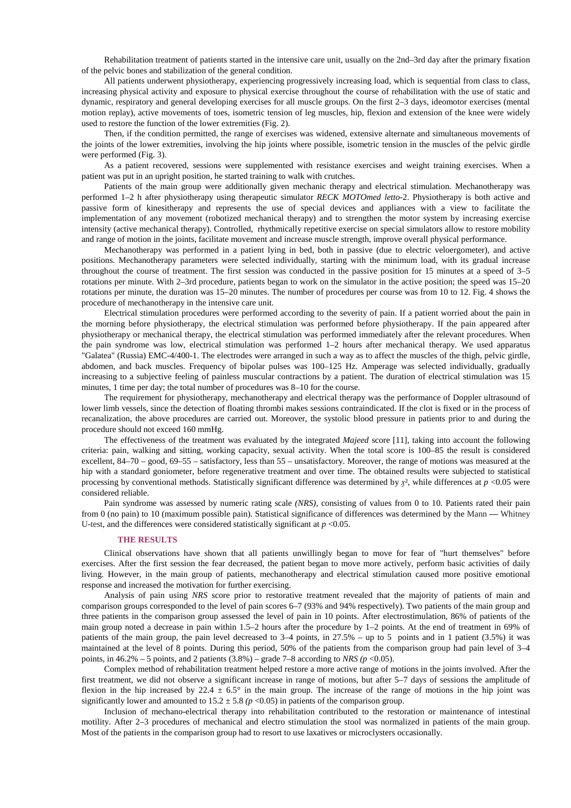Rehabilitation treatment of patients started in the intensive care unit, usually on the 2nd–3rd day after the primary fixation of the pelvic bones and stabilization of the general condition.

All patients underwent physiotherapy, experiencing progressively increasing load, which is sequential from class to class, increasing physical activity and exposure to physical exercise throughout the course of rehabilitation with the use of static and dynamic, respiratory and general developing exercises for all muscle groups. On the first 2–3 days, ideomotor exercises (mental motion replay), active movements of toes, isometric tension of leg muscles, hip, flexion and extension of the knee were widely used to restore the function of the lower extremities (Fig. 2).

Then, if the condition permitted, the range of exercises was widened, extensive alternate and simultaneous movements of the joints of the lower extremities, involving the hip joints where possible, isometric tension in the muscles of the pelvic girdle were performed (Fig. 3).

As a patient recovered, sessions were supplemented with resistance exercises and weight training exercises. When a patient was put in an upright position, he started training to walk with crutches.

Patients of the main group were additionally given mechanic therapy and electrical stimulation. Mechanotherapy was performed 1–2 h after physiotherapy using therapeutic simulator *RECK MOTOmed letto*-2. Physiotherapy is both active and passive form of kinesitherapy and represents the use of special devices and appliances with a view to facilitate the implementation of any movement (robotized mechanical therapy) and to strengthen the motor system by increasing exercise intensity (active mechanical therapy). Controlled, rhythmically repetitive exercise on special simulators allow to restore mobility and range of motion in the joints, facilitate movement and increase muscle strength, improve overall physical performance.

Mechanotherapy was performed in a patient lying in bed, both in passive (due to electric veloergometer), and active positions. Mechanotherapy parameters were selected individually, starting with the minimum load, with its gradual increase throughout the course of treatment. The first session was conducted in the passive position for 15 minutes at a speed of 3–5 rotations per minute. With 2–3rd procedure, patients began to work on the simulator in the active position; the speed was 15–20 rotations per minute, the duration was 15–20 minutes. The number of procedures per course was from 10 to 12. Fig. 4 shows the procedure of mechanotherapy in the intensive care unit.

Electrical stimulation procedures were performed according to the severity of pain. If a patient worried about the pain in the morning before physiotherapy, the electrical stimulation was performed before physiotherapy. If the pain appeared after physiotherapy or mechanical therapy, the electrical stimulation was performed immediately after the relevant procedures. When the pain syndrome was low, electrical stimulation was performed 1–2 hours after mechanical therapy. We used apparatus "Galatea" (Russia) EMC-4/400-1. The electrodes were arranged in such a way as to affect the muscles of the thigh, pelvic girdle, abdomen, and back muscles. Frequency of bipolar pulses was 100–125 Hz. Amperage was selected individually, gradually increasing to a subjective feeling of painless muscular contractions by a patient. The duration of electrical stimulation was 15 minutes, 1 time per day; the total number of procedures was 8–10 for the course.

The requirement for physiotherapy, mechanotherapy and electrical therapy was the performance of Doppler ultrasound of lower limb vessels, since the detection of floating thrombi makes sessions contraindicated. If the clot is fixed or in the process of recanalization, the above procedures are carried out. Moreover, the systolic blood pressure in patients prior to and during the procedure should not exceed 160 mmHg.

The effectiveness of the treatment was evaluated by the integrated *Majeed* score [11], taking into account the following criteria: pain, walking and sitting, working capacity, sexual activity. When the total score is 100–85 the result is considered excellent, 84–70 – good, 69–55 – satisfactory, less than 55 – unsatisfactory. Moreover, the range of motions was measured at the hip with a standard goniometer, before regenerative treatment and over time. The obtained results were subjected to statistical processing by conventional methods. Statistically significant difference was determined by  $x^2$ , while differences at  $p < 0.05$  were considered reliable.

Pain syndrome was assessed by numeric rating scale *(NRS),* consisting of values from 0 to 10. Patients rated their pain from 0 (no pain) to 10 (maximum possible pain). Statistical significance of differences was determined by the Mann **—** Whitney U**-**test, and the differences were considered statistically significant at *p* <0.05.

# **THE RESULTS**

Clinical observations have shown that all patients unwillingly began to move for fear of "hurt themselves" before exercises. After the first session the fear decreased, the patient began to move more actively, perform basic activities of daily living. However, in the main group of patients, mechanotherapy and electrical stimulation caused more positive emotional response and increased the motivation for further exercising.

Analysis of pain using *NRS* score prior to restorative treatment revealed that the majority of patients of main and comparison groups corresponded to the level of pain scores 6–7 (93% and 94% respectively). Two patients of the main group and three patients in the comparison group assessed the level of pain in 10 points. After electrostimulation, 86% of patients of the main group noted a decrease in pain within 1.5–2 hours after the procedure by 1–2 points. At the end of treatment in 69% of patients of the main group, the pain level decreased to 3–4 points, in 27.5% – up to 5 points and in 1 patient (3.5%) it was maintained at the level of 8 points. During this period, 50% of the patients from the comparison group had pain level of 3–4 points, in  $46.2\%$  – 5 points, and 2 patients  $(3.8\%)$  – grade 7–8 according to *NRS (p* <0.05).

Complex method of rehabilitation treatment helped restore a more active range of motions in the joints involved. After the first treatment, we did not observe a significant increase in range of motions, but after 5–7 days of sessions the amplitude of flexion in the hip increased by 22.4  $\pm$  6.5° in the main group. The increase of the range of motions in the hip joint was significantly lower and amounted to  $15.2 \pm 5.8$  ( $p < 0.05$ ) in patients of the comparison group.

Inclusion of mechano-electrical therapy into rehabilitation contributed to the restoration or maintenance of intestinal motility. After 2–3 procedures of mechanical and electro stimulation the stool was normalized in patients of the main group. Most of the patients in the comparison group had to resort to use laxatives or microclysters occasionally.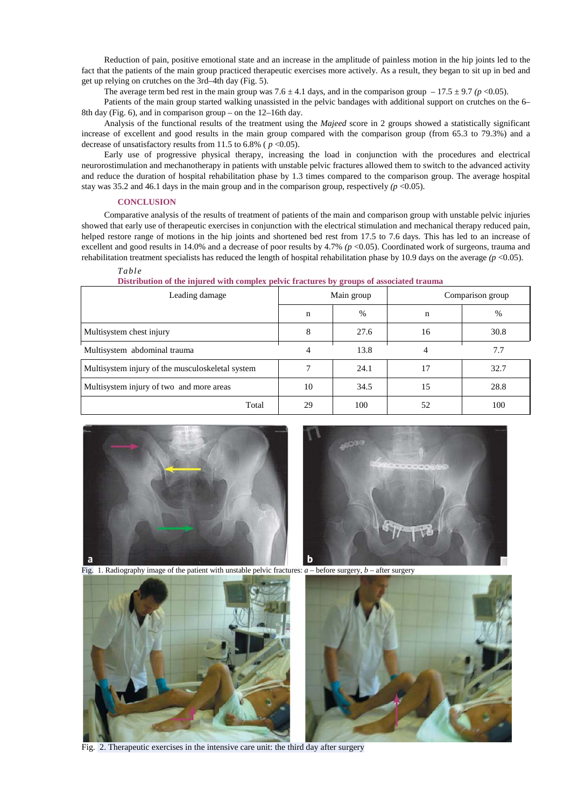Reduction of pain, positive emotional state and an increase in the amplitude of painless motion in the hip joints led to the fact that the patients of the main group practiced therapeutic exercises more actively. As a result, they began to sit up in bed and get up relying on crutches on the 3rd–4th day (Fig. 5).

The average term bed rest in the main group was  $7.6 \pm 4.1$  days, and in the comparison group  $-17.5 \pm 9.7$  ( $p < 0.05$ ).

Patients of the main group started walking unassisted in the pelvic bandages with additional support on crutches on the 6– 8th day (Fig. 6), and in comparison group – on the  $12-16$ th day.

Analysis of the functional results of the treatment using the *Majeed* score in 2 groups showed a statistically significant increase of excellent and good results in the main group compared with the comparison group (from 65.3 to 79.3%) and a decrease of unsatisfactory results from 11.5 to 6.8% ( $p < 0.05$ ).

Early use of progressive physical therapy, increasing the load in conjunction with the procedures and electrical neurorostimulation and mechanotherapy in patients with unstable pelvic fractures allowed them to switch to the advanced activity and reduce the duration of hospital rehabilitation phase by 1.3 times compared to the comparison group. The average hospital stay was 35.2 and 46.1 days in the main group and in the comparison group, respectively  $(p < 0.05)$ .

### **CONCLUSION**

Comparative analysis of the results of treatment of patients of the main and comparison group with unstable pelvic injuries showed that early use of therapeutic exercises in conjunction with the electrical stimulation and mechanical therapy reduced pain, helped restore range of motions in the hip joints and shortened bed rest from 17.5 to 7.6 days. This has led to an increase of excellent and good results in 14.0% and a decrease of poor results by 4.7% *(p* <0.05). Coordinated work of surgeons, trauma and rehabilitation treatment specialists has reduced the length of hospital rehabilitation phase by 10.9 days on the average  $(p \le 0.05)$ .

#### *Table*

| Leading damage                                   | Main group |      | Comparison group |      |
|--------------------------------------------------|------------|------|------------------|------|
|                                                  | n          | $\%$ | n                | $\%$ |
| Multisystem chest injury                         | 8          | 27.6 | 16               | 30.8 |
| Multisystem abdominal trauma                     | 4          | 13.8 |                  | 7.7  |
| Multisystem injury of the musculoskeletal system |            | 24.1 | 17               | 32.7 |
| Multisystem injury of two and more areas         | 10         | 34.5 | 15               | 28.8 |
| Total                                            | 29         | 100  | 52               | 100  |

#### **Distribution of the injured with complex pelvic fractures by groups of associated trauma**





Fig. 1. Radiography image of the patient with unstable pelvic fractures: *a* – before surgery, *b* – after surgery



Fig. 2. Therapeutic exercises in the intensive care unit: the third day after surgery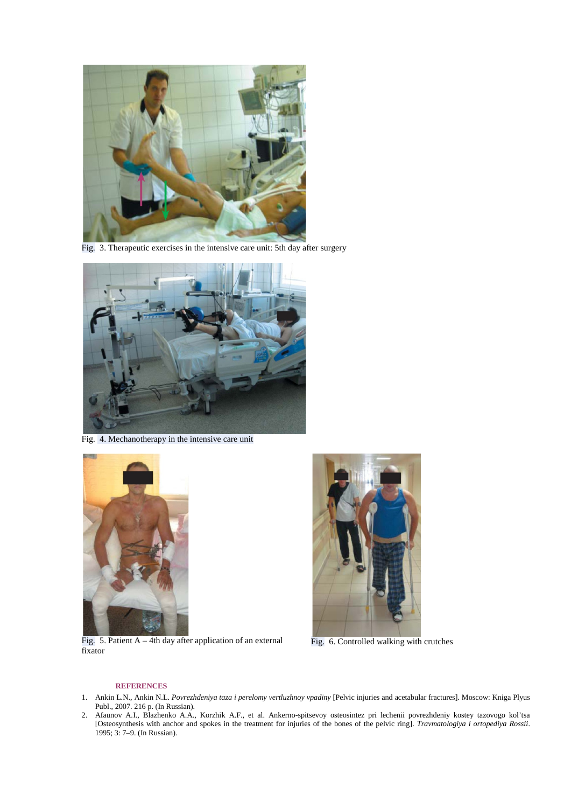

Fig. 3. Therapeutic exercises in the intensive care unit: 5th day after surgery



Fig. 4. Mechanotherapy in the intensive care unit



Fig. 5. Patient  $A - 4th$  day after application of an external fixator



Fig. 6. Controlled walking with crutches

#### **REFERENCES**

- 1. Ankin L.N., Ankin N.L. *Povrezhdeniya taza i perelomy vertluzhnoy vpadiny* [Pelvic injuries and acetabular fractures]. Moscow: Kniga Plyus Publ., 2007. 216 p. (In Russian).
- 2. Afaunov A.I., Blazhenko A.A., Korzhik A.F., et al. Ankerno-spitsevoy osteosintez pri lechenii povrezhdeniy kostey tazovogo kol'tsa [Osteosynthesis with anchor and spokes in the treatment for injuries of the bones of the pelvic ring]. *Travmatologiya i ortopediya Rossii*. 1995; 3: 7–9. (In Russian).